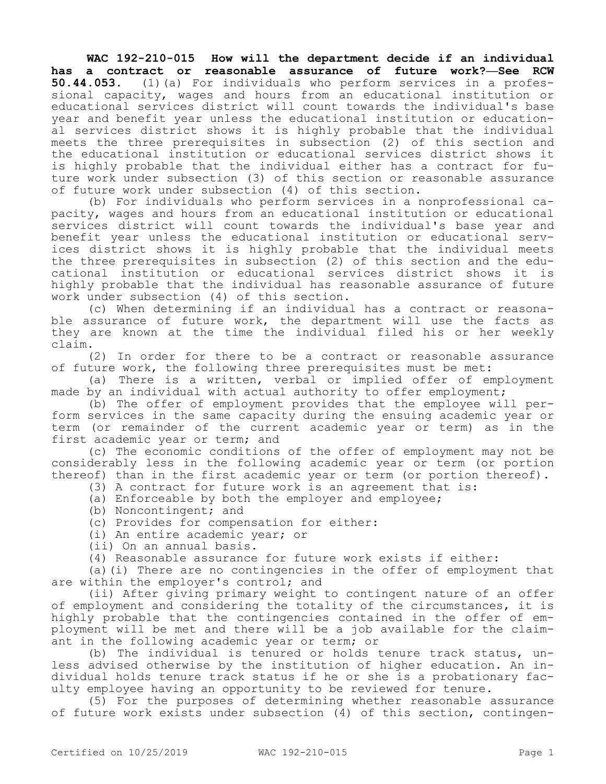**WAC 192-210-015 How will the department decide if an individual has a contract or reasonable assurance of future work?—See RCW 50.44.053.** (1)(a) For individuals who perform services in a professional capacity, wages and hours from an educational institution or educational services district will count towards the individual's base year and benefit year unless the educational institution or educational services district shows it is highly probable that the individual meets the three prerequisites in subsection (2) of this section and the educational institution or educational services district shows it is highly probable that the individual either has a contract for future work under subsection (3) of this section or reasonable assurance of future work under subsection (4) of this section.

(b) For individuals who perform services in a nonprofessional capacity, wages and hours from an educational institution or educational services district will count towards the individual's base year and benefit year unless the educational institution or educational services district shows it is highly probable that the individual meets the three prerequisites in subsection (2) of this section and the educational institution or educational services district shows it is highly probable that the individual has reasonable assurance of future work under subsection (4) of this section.

(c) When determining if an individual has a contract or reasonable assurance of future work, the department will use the facts as they are known at the time the individual filed his or her weekly claim.

(2) In order for there to be a contract or reasonable assurance of future work, the following three prerequisites must be met:

(a) There is a written, verbal or implied offer of employment made by an individual with actual authority to offer employment;

(b) The offer of employment provides that the employee will perform services in the same capacity during the ensuing academic year or term (or remainder of the current academic year or term) as in the first academic year or term; and

(c) The economic conditions of the offer of employment may not be considerably less in the following academic year or term (or portion thereof) than in the first academic year or term (or portion thereof).

- (3) A contract for future work is an agreement that is:
- (a) Enforceable by both the employer and employee;
- (b) Noncontingent; and
- (c) Provides for compensation for either:
- (i) An entire academic year; or
- (ii) On an annual basis.
- (4) Reasonable assurance for future work exists if either:

(a)(i) There are no contingencies in the offer of employment that are within the employer's control; and

(ii) After giving primary weight to contingent nature of an offer of employment and considering the totality of the circumstances, it is highly probable that the contingencies contained in the offer of employment will be met and there will be a job available for the claimant in the following academic year or term; or

(b) The individual is tenured or holds tenure track status, unless advised otherwise by the institution of higher education. An individual holds tenure track status if he or she is a probationary faculty employee having an opportunity to be reviewed for tenure.

(5) For the purposes of determining whether reasonable assurance of future work exists under subsection (4) of this section, contingen-